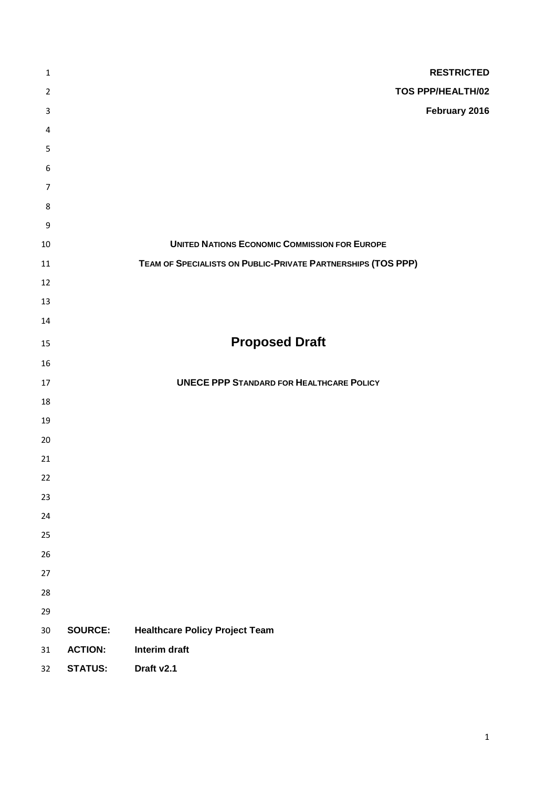| $\mathbf 1$      |                | <b>RESTRICTED</b>                                            |
|------------------|----------------|--------------------------------------------------------------|
| $\overline{2}$   |                | <b>TOS PPP/HEALTH/02</b>                                     |
| $\mathsf{3}$     |                | February 2016                                                |
| 4                |                |                                                              |
| 5                |                |                                                              |
| 6                |                |                                                              |
| $\overline{7}$   |                |                                                              |
| $\,8\,$          |                |                                                              |
| $\boldsymbol{9}$ |                |                                                              |
| $10\,$           |                | <b>UNITED NATIONS ECONOMIC COMMISSION FOR EUROPE</b>         |
| 11               |                | TEAM OF SPECIALISTS ON PUBLIC-PRIVATE PARTNERSHIPS (TOS PPP) |
| 12               |                |                                                              |
| 13               |                |                                                              |
| 14               |                |                                                              |
| 15               |                | <b>Proposed Draft</b>                                        |
| 16               |                |                                                              |
| 17               |                | <b>UNECE PPP STANDARD FOR HEALTHCARE POLICY</b>              |
| 18               |                |                                                              |
| 19               |                |                                                              |
| 20               |                |                                                              |
| 21               |                |                                                              |
| 22               |                |                                                              |
| 23               |                |                                                              |
| 24               |                |                                                              |
| 25               |                |                                                              |
| 26               |                |                                                              |
| 27               |                |                                                              |
| 28               |                |                                                              |
| 29               |                |                                                              |
| $30\,$           | <b>SOURCE:</b> | <b>Healthcare Policy Project Team</b>                        |
| 31               | <b>ACTION:</b> | Interim draft                                                |
| 32               | <b>STATUS:</b> | Draft v2.1                                                   |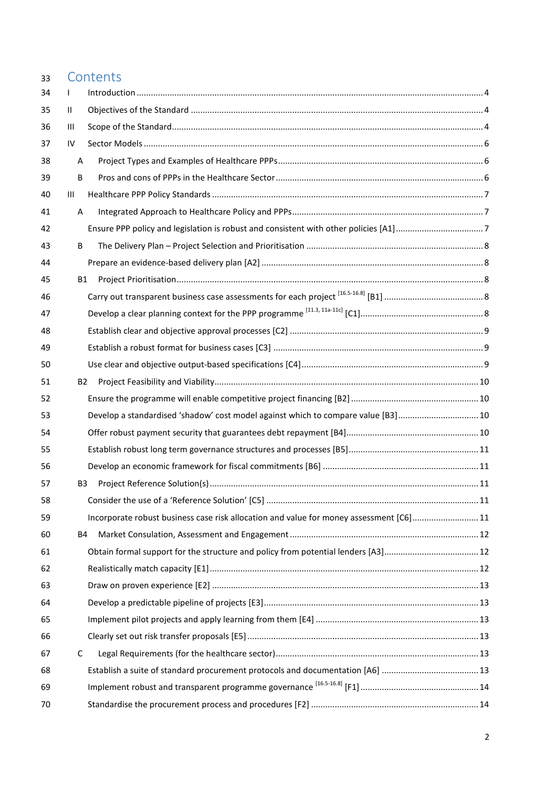| 33 | Contents                                                                               |  |
|----|----------------------------------------------------------------------------------------|--|
| 34 | T                                                                                      |  |
| 35 | Ш                                                                                      |  |
| 36 | Ш                                                                                      |  |
| 37 | IV                                                                                     |  |
| 38 | Α                                                                                      |  |
| 39 | B                                                                                      |  |
| 40 | Ш                                                                                      |  |
| 41 | A                                                                                      |  |
| 42 |                                                                                        |  |
| 43 | B                                                                                      |  |
| 44 |                                                                                        |  |
| 45 | B1                                                                                     |  |
| 46 |                                                                                        |  |
| 47 |                                                                                        |  |
| 48 |                                                                                        |  |
| 49 |                                                                                        |  |
| 50 |                                                                                        |  |
| 51 | B2                                                                                     |  |
| 52 |                                                                                        |  |
| 53 | Develop a standardised 'shadow' cost model against which to compare value [B3]  10     |  |
| 54 |                                                                                        |  |
| 55 |                                                                                        |  |
| 56 |                                                                                        |  |
| 57 | B3                                                                                     |  |
| 58 |                                                                                        |  |
| 59 | Incorporate robust business case risk allocation and value for money assessment [C6]11 |  |
| 60 | B4                                                                                     |  |
| 61 |                                                                                        |  |
| 62 |                                                                                        |  |
| 63 |                                                                                        |  |
| 64 |                                                                                        |  |
| 65 |                                                                                        |  |
| 66 |                                                                                        |  |
| 67 | C                                                                                      |  |
| 68 |                                                                                        |  |
| 69 |                                                                                        |  |
| 70 |                                                                                        |  |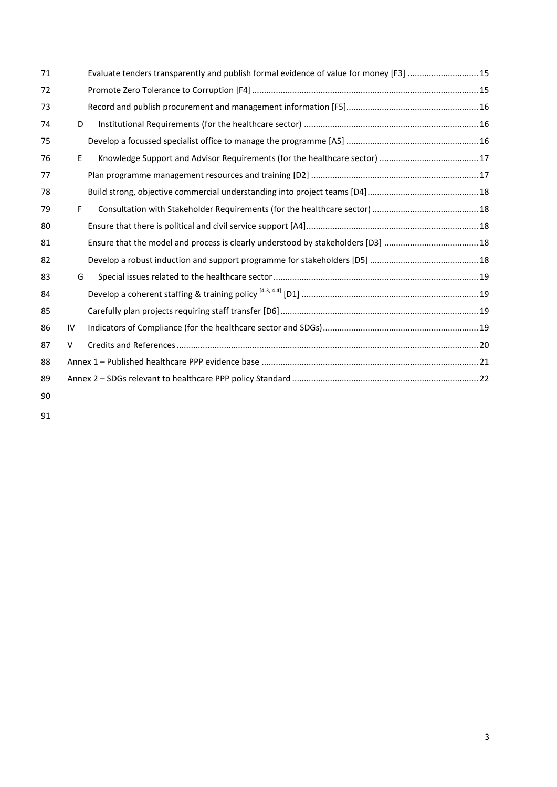| 71 |    | Evaluate tenders transparently and publish formal evidence of value for money [F3]  15 |  |  |  |
|----|----|----------------------------------------------------------------------------------------|--|--|--|
| 72 |    |                                                                                        |  |  |  |
| 73 |    |                                                                                        |  |  |  |
| 74 | D  |                                                                                        |  |  |  |
| 75 |    |                                                                                        |  |  |  |
| 76 | E  |                                                                                        |  |  |  |
| 77 |    |                                                                                        |  |  |  |
| 78 |    |                                                                                        |  |  |  |
| 79 | F. |                                                                                        |  |  |  |
| 80 |    |                                                                                        |  |  |  |
| 81 |    |                                                                                        |  |  |  |
| 82 |    |                                                                                        |  |  |  |
| 83 | G  |                                                                                        |  |  |  |
| 84 |    |                                                                                        |  |  |  |
| 85 |    |                                                                                        |  |  |  |
| 86 | IV |                                                                                        |  |  |  |
| 87 | V  |                                                                                        |  |  |  |
| 88 |    |                                                                                        |  |  |  |
| 89 |    |                                                                                        |  |  |  |
| 90 |    |                                                                                        |  |  |  |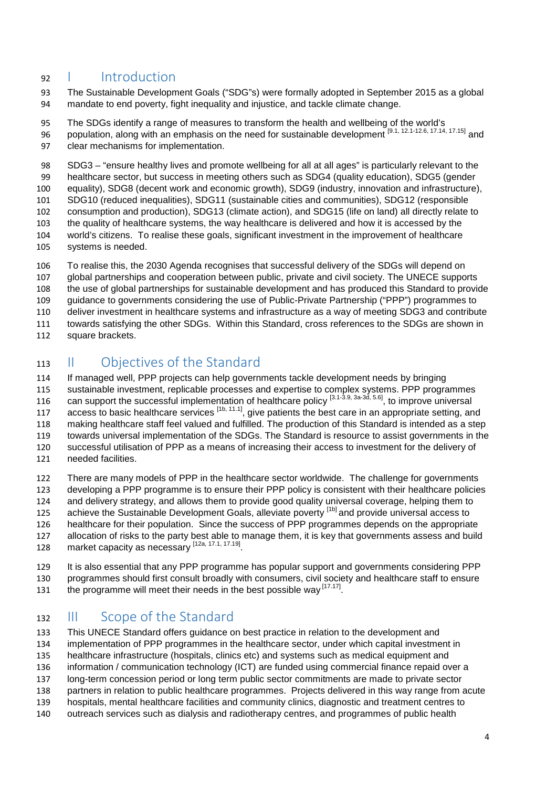## <span id="page-3-0"></span>I Introduction

 The Sustainable Development Goals ("SDG"s) were formally adopted in September 2015 as a global mandate to end poverty, fight inequality and injustice, and tackle climate change.

 The SDGs identify a range of measures to transform the health and wellbeing of the world's population, along with an emphasis on the need for sustainable development [9.1, 12.1-12.6, 17.14, 17.15] and clear mechanisms for implementation.

 SDG3 – "ensure healthy lives and promote wellbeing for all at all ages" is particularly relevant to the healthcare sector, but success in meeting others such as SDG4 (quality education), SDG5 (gender equality), SDG8 (decent work and economic growth), SDG9 (industry, innovation and infrastructure), SDG10 (reduced inequalities), SDG11 (sustainable cities and communities), SDG12 (responsible consumption and production), SDG13 (climate action), and SDG15 (life on land) all directly relate to the quality of healthcare systems, the way healthcare is delivered and how it is accessed by the world's citizens. To realise these goals, significant investment in the improvement of healthcare systems is needed.

 To realise this, the 2030 Agenda recognises that successful delivery of the SDGs will depend on global partnerships and cooperation between public, private and civil society. The UNECE supports the use of global partnerships for sustainable development and has produced this Standard to provide guidance to governments considering the use of Public-Private Partnership ("PPP") programmes to deliver investment in healthcare systems and infrastructure as a way of meeting SDG3 and contribute towards satisfying the other SDGs. Within this Standard, cross references to the SDGs are shown in

square brackets.

## <span id="page-3-1"></span>II Objectives of the Standard

 If managed well, PPP projects can help governments tackle development needs by bringing sustainable investment, replicable processes and expertise to complex systems. PPP programmes 116 can support the successful implementation of healthcare policy  $[3.1-3.9, 3a-3d, 5.6]$ , to improve universal 117 access to basic healthcare services  $[1b, 11.1]$ , give patients the best care in an appropriate setting, and making healthcare staff feel valued and fulfilled. The production of this Standard is intended as a step towards universal implementation of the SDGs. The Standard is resource to assist governments in the successful utilisation of PPP as a means of increasing their access to investment for the delivery of needed facilities.

 There are many models of PPP in the healthcare sector worldwide. The challenge for governments developing a PPP programme is to ensure their PPP policy is consistent with their healthcare policies and delivery strategy, and allows them to provide good quality universal coverage, helping them to 125 achieve the Sustainable Development Goals, alleviate poverty [1b] and provide universal access to healthcare for their population. Since the success of PPP programmes depends on the appropriate allocation of risks to the party best able to manage them, it is key that governments assess and build 128 market capacity as necessary [12a, 17.1, 17.19]

 It is also essential that any PPP programme has popular support and governments considering PPP programmes should first consult broadly with consumers, civil society and healthcare staff to ensure

131 the programme will meet their needs in the best possible way  $[17.17]$ 

## <span id="page-3-2"></span>III Scope of the Standard

 This UNECE Standard offers guidance on best practice in relation to the development and implementation of PPP programmes in the healthcare sector, under which capital investment in healthcare infrastructure (hospitals, clinics etc) and systems such as medical equipment and information / communication technology (ICT) are funded using commercial finance repaid over a long-term concession period or long term public sector commitments are made to private sector partners in relation to public healthcare programmes. Projects delivered in this way range from acute hospitals, mental healthcare facilities and community clinics, diagnostic and treatment centres to

outreach services such as dialysis and radiotherapy centres, and programmes of public health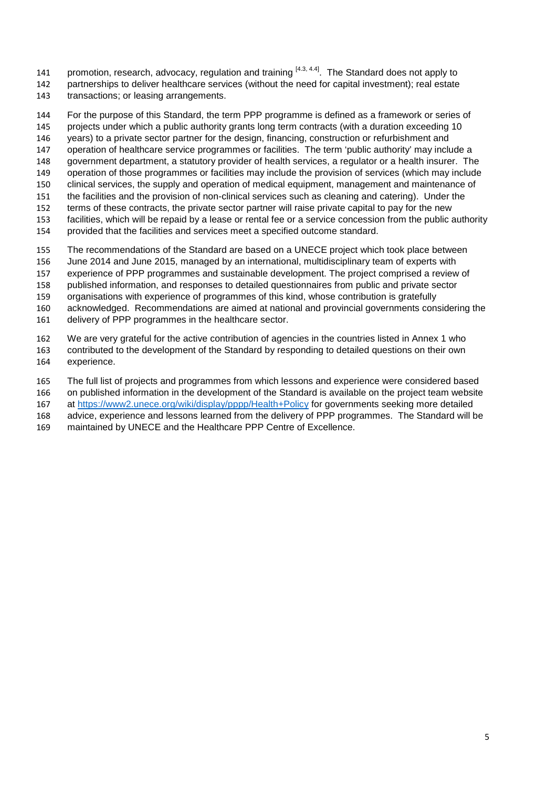141 promotion, research, advocacy, regulation and training  $[4.3, 4.4]$ . The Standard does not apply to partnerships to deliver healthcare services (without the need for capital investment); real estate transactions; or leasing arrangements.

 For the purpose of this Standard, the term PPP programme is defined as a framework or series of projects under which a public authority grants long term contracts (with a duration exceeding 10 years) to a private sector partner for the design, financing, construction or refurbishment and operation of healthcare service programmes or facilities. The term 'public authority' may include a government department, a statutory provider of health services, a regulator or a health insurer. The operation of those programmes or facilities may include the provision of services (which may include clinical services, the supply and operation of medical equipment, management and maintenance of the facilities and the provision of non-clinical services such as cleaning and catering). Under the terms of these contracts, the private sector partner will raise private capital to pay for the new facilities, which will be repaid by a lease or rental fee or a service concession from the public authority provided that the facilities and services meet a specified outcome standard. The recommendations of the Standard are based on a UNECE project which took place between

- June 2014 and June 2015, managed by an international, multidisciplinary team of experts with experience of PPP programmes and sustainable development. The project comprised a review of published information, and responses to detailed questionnaires from public and private sector
- organisations with experience of programmes of this kind, whose contribution is gratefully acknowledged. Recommendations are aimed at national and provincial governments considering the
- delivery of PPP programmes in the healthcare sector.
- We are very grateful for the active contribution of agencies in the countries listed in Annex 1 who contributed to the development of the Standard by responding to detailed questions on their own experience.
- The full list of projects and programmes from which lessons and experience were considered based on published information in the development of the Standard is available on the project team website at<https://www2.unece.org/wiki/display/pppp/Health+Policy> for governments seeking more detailed advice, experience and lessons learned from the delivery of PPP programmes. The Standard will be
- maintained by UNECE and the Healthcare PPP Centre of Excellence.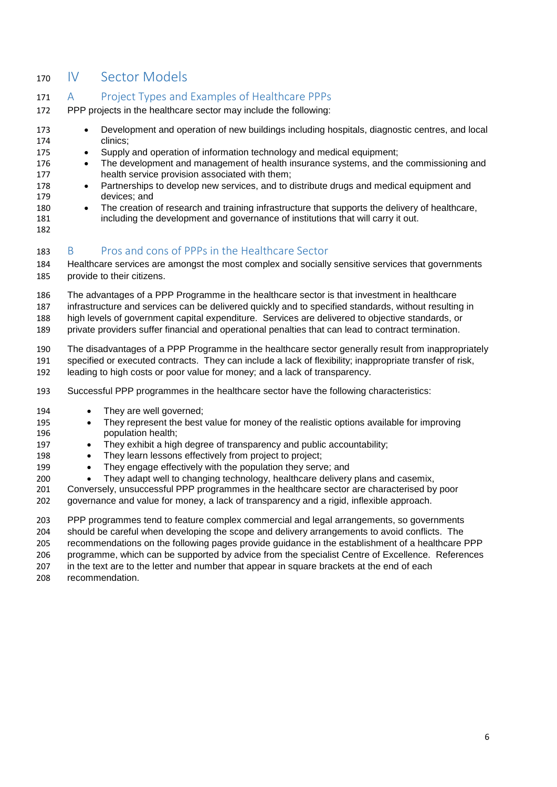## <span id="page-5-0"></span>IV Sector Models

### <span id="page-5-1"></span>A Project Types and Examples of Healthcare PPPs

- PPP projects in the healthcare sector may include the following:
- Development and operation of new buildings including hospitals, diagnostic centres, and local clinics;
- Supply and operation of information technology and medical equipment;
- 176 The development and management of health insurance systems, and the commissioning and health service provision associated with them;
- 178 Partnerships to develop new services, and to distribute drugs and medical equipment and devices; and
- 180 The creation of research and training infrastructure that supports the delivery of healthcare, including the development and governance of institutions that will carry it out.
- 

### <span id="page-5-2"></span>B Pros and cons of PPPs in the Healthcare Sector

 Healthcare services are amongst the most complex and socially sensitive services that governments provide to their citizens.

- The advantages of a PPP Programme in the healthcare sector is that investment in healthcare
- infrastructure and services can be delivered quickly and to specified standards, without resulting in
- high levels of government capital expenditure. Services are delivered to objective standards, or

private providers suffer financial and operational penalties that can lead to contract termination.

The disadvantages of a PPP Programme in the healthcare sector generally result from inappropriately

specified or executed contracts. They can include a lack of flexibility; inappropriate transfer of risk,

- leading to high costs or poor value for money; and a lack of transparency.
- Successful PPP programmes in the healthcare sector have the following characteristics:
- 194 They are well governed;
- They represent the best value for money of the realistic options available for improving population health;
- 197 They exhibit a high degree of transparency and public accountability;
- 198 They learn lessons effectively from project to project;
- They engage effectively with the population they serve; and
- They adapt well to changing technology, healthcare delivery plans and casemix,
- Conversely, unsuccessful PPP programmes in the healthcare sector are characterised by poor governance and value for money, a lack of transparency and a rigid, inflexible approach.

PPP programmes tend to feature complex commercial and legal arrangements, so governments

should be careful when developing the scope and delivery arrangements to avoid conflicts. The

recommendations on the following pages provide guidance in the establishment of a healthcare PPP

programme, which can be supported by advice from the specialist Centre of Excellence. References

in the text are to the letter and number that appear in square brackets at the end of each

recommendation.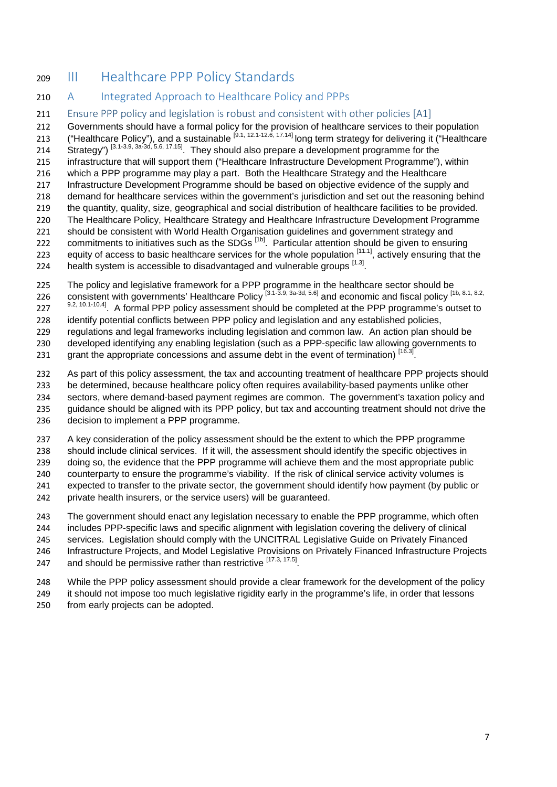## <span id="page-6-0"></span>III Healthcare PPP Policy Standards

### <span id="page-6-1"></span>210 A Integrated Approach to Healthcare Policy and PPPs

<span id="page-6-2"></span>211 Ensure PPP policy and legislation is robust and consistent with other policies [A1]

 Governments should have a formal policy for the provision of healthcare services to their population 213 ("Healthcare Policy"), and a sustainable  $[9.1, 12.1-12.6, 17.14]$  long term strategy for delivering it ("Healthcare 213 (From Extensive Programme for the Strategy") [3.1-3.9, 3a-3d, 5.6, 17.15] They should also prepare a development programme for the infrastructure that will support them ("Healthcare Infrastructure Development Programme"), within which a PPP programme may play a part. Both the Healthcare Strategy and the Healthcare Infrastructure Development Programme should be based on objective evidence of the supply and demand for healthcare services within the government's jurisdiction and set out the reasoning behind the quantity, quality, size, geographical and social distribution of healthcare facilities to be provided. The Healthcare Policy, Healthcare Strategy and Healthcare Infrastructure Development Programme should be consistent with World Health Organisation guidelines and government strategy and

- 222 commitments to initiatives such as the SDGs <sup>[1b]</sup>. Particular attention should be given to ensuring
- 223 equity of access to basic healthcare services for the whole population  $[11.1]$ , actively ensuring that the
- 224 health system is accessible to disadvantaged and vulnerable groups [1.3].

225 The policy and legislative framework for a PPP programme in the healthcare sector should be 226 consistent with governments' Healthcare Policy<sup>[3.1-3.9, 3a-3d, 5.6]</sup> and economic and fiscal policy <sup>[1b, 8.1, 8.2,</sup>

9.2, 10.1-10.4] A formal PPP policy assessment should be completed at the PPP programme's outset to

identify potential conflicts between PPP policy and legislation and any established policies,

regulations and legal frameworks including legislation and common law. An action plan should be

developed identifying any enabling legislation (such as a PPP-specific law allowing governments to

231 grant the appropriate concessions and assume debt in the event of termination)  $[16.3]$ 

232 As part of this policy assessment, the tax and accounting treatment of healthcare PPP projects should be determined, because healthcare policy often requires availability-based payments unlike other sectors, where demand-based payment regimes are common. The government's taxation policy and guidance should be aligned with its PPP policy, but tax and accounting treatment should not drive the decision to implement a PPP programme.

 A key consideration of the policy assessment should be the extent to which the PPP programme should include clinical services. If it will, the assessment should identify the specific objectives in

doing so, the evidence that the PPP programme will achieve them and the most appropriate public

counterparty to ensure the programme's viability. If the risk of clinical service activity volumes is

expected to transfer to the private sector, the government should identify how payment (by public or

242 private health insurers, or the service users) will be quaranteed.

The government should enact any legislation necessary to enable the PPP programme, which often

includes PPP-specific laws and specific alignment with legislation covering the delivery of clinical

services. Legislation should comply with the UNCITRAL Legislative Guide on Privately Financed

Infrastructure Projects, and Model Legislative Provisions on Privately Financed Infrastructure Projects

247 and should be permissive rather than restrictive [17.3, 17.5].

While the PPP policy assessment should provide a clear framework for the development of the policy

it should not impose too much legislative rigidity early in the programme's life, in order that lessons

from early projects can be adopted.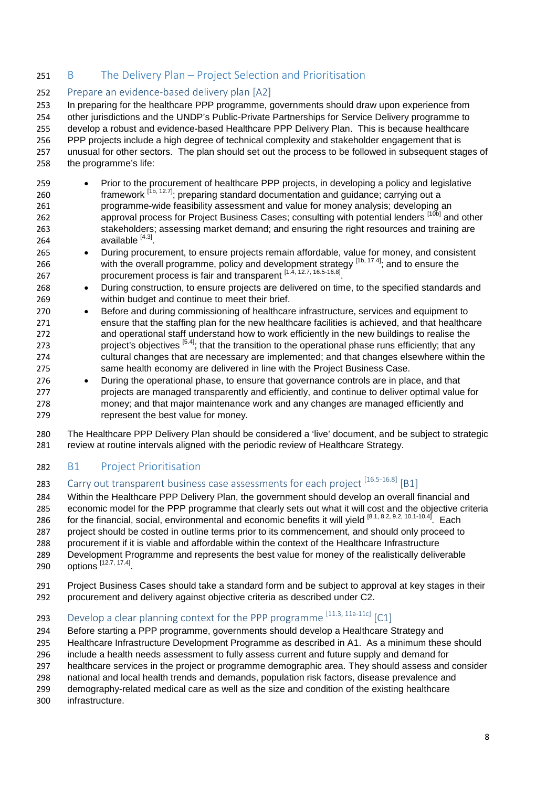### <span id="page-7-0"></span>251 B The Delivery Plan – Project Selection and Prioritisation

### <span id="page-7-1"></span>Prepare an evidence-based delivery plan [A2]

 In preparing for the healthcare PPP programme, governments should draw upon experience from 254 other jurisdictions and the UNDP's Public-Private Partnerships for Service Delivery programme to develop a robust and evidence-based Healthcare PPP Delivery Plan. This is because healthcare PPP projects include a high degree of technical complexity and stakeholder engagement that is unusual for other sectors. The plan should set out the process to be followed in subsequent stages of the programme's life:

- Prior to the procurement of healthcare PPP projects, in developing a policy and legislative 260  $\frac{1}{16}$  framework  $\frac{1}{16}$ , 12.7]; preparing standard documentation and guidance; carrying out a programme-wide feasibility assessment and value for money analysis; developing an 262 approval process for Project Business Cases; consulting with potential lenders [10b] and other stakeholders; assessing market demand; and ensuring the right resources and training are 264  $a$ vailable  $[4.3]$ .
- During procurement, to ensure projects remain affordable, value for money, and consistent 266 with the overall programme, policy and development strategy  $[1b, 17.4]$  and to ensure the procurement process is fair and transparent [1.4, 12.7, 16.5-16.8] .
- During construction, to ensure projects are delivered on time, to the specified standards and within budget and continue to meet their brief.
- Before and during commissioning of healthcare infrastructure, services and equipment to ensure that the staffing plan for the new healthcare facilities is achieved, and that healthcare and operational staff understand how to work efficiently in the new buildings to realise the 273 project's objectives  $\left[5.4\right]$ ; that the transition to the operational phase runs efficiently; that any cultural changes that are necessary are implemented; and that changes elsewhere within the same health economy are delivered in line with the Project Business Case.
- During the operational phase, to ensure that governance controls are in place, and that projects are managed transparently and efficiently, and continue to deliver optimal value for money; and that major maintenance work and any changes are managed efficiently and represent the best value for money.
- The Healthcare PPP Delivery Plan should be considered a 'live' document, and be subject to strategic review at routine intervals aligned with the periodic review of Healthcare Strategy.

### <span id="page-7-2"></span>B1 Project Prioritisation

## <span id="page-7-3"></span>283 Carry out transparent business case assessments for each project <sup>[16.5-16.8]</sup> [B1]

 Within the Healthcare PPP Delivery Plan, the government should develop an overall financial and economic model for the PPP programme that clearly sets out what it will cost and the objective criteria for the financial, social, environmental and economic benefits it will yield [8.1, 8.2, 9.2, 10.1-10.4]. Each project should be costed in outline terms prior to its commencement, and should only proceed to procurement if it is viable and affordable within the context of the Healthcare Infrastructure Development Programme and represents the best value for money of the realistically deliverable

- **options** [12.7, 17.4]
- Project Business Cases should take a standard form and be subject to approval at key stages in their
- procurement and delivery against objective criteria as described under C2.

## <span id="page-7-4"></span>293 Develop a clear planning context for the PPP programme  $^{[11.3, 11a-11c]}$  [C1]

- Before starting a PPP programme, governments should develop a Healthcare Strategy and
- Healthcare Infrastructure Development Programme as described in A1. As a minimum these should
- include a health needs assessment to fully assess current and future supply and demand for
- healthcare services in the project or programme demographic area. They should assess and consider
- national and local health trends and demands, population risk factors, disease prevalence and
- demography-related medical care as well as the size and condition of the existing healthcare
- infrastructure.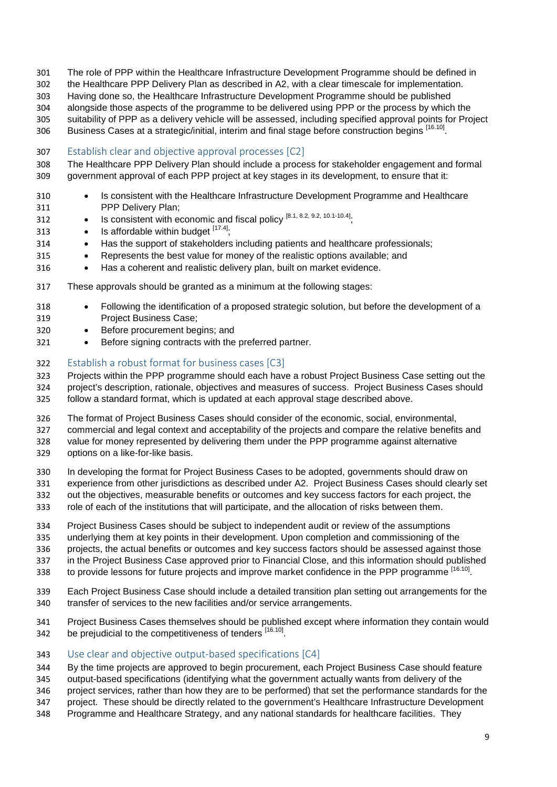- The role of PPP within the Healthcare Infrastructure Development Programme should be defined in
- the Healthcare PPP Delivery Plan as described in A2, with a clear timescale for implementation.
- Having done so, the Healthcare Infrastructure Development Programme should be published
- alongside those aspects of the programme to be delivered using PPP or the process by which the
- suitability of PPP as a delivery vehicle will be assessed, including specified approval points for Project
- 306 Business Cases at a strategic/initial, interim and final stage before construction begins [16.10]
- <span id="page-8-0"></span>Establish clear and objective approval processes [C2]
- The Healthcare PPP Delivery Plan should include a process for stakeholder engagement and formal government approval of each PPP project at key stages in its development, to ensure that it:
- Is consistent with the Healthcare Infrastructure Development Programme and Healthcare PPP Delivery Plan;
- 312 Is consistent with economic and fiscal policy  $[8.1, 8.2, 9.2, 10.1-10.4]$
- 313 Is affordable within budget  $[17.4]$ ;
- Has the support of stakeholders including patients and healthcare professionals;
- Represents the best value for money of the realistic options available; and
- Has a coherent and realistic delivery plan, built on market evidence.
- These approvals should be granted as a minimum at the following stages:
- Following the identification of a proposed strategic solution, but before the development of a Project Business Case;
- Before procurement begins; and
- Before signing contracts with the preferred partner.

### <span id="page-8-1"></span>Establish a robust format for business cases [C3]

 Projects within the PPP programme should each have a robust Project Business Case setting out the project's description, rationale, objectives and measures of success. Project Business Cases should follow a standard format, which is updated at each approval stage described above.

- The format of Project Business Cases should consider of the economic, social, environmental,
- commercial and legal context and acceptability of the projects and compare the relative benefits and
- value for money represented by delivering them under the PPP programme against alternative options on a like-for-like basis.
- In developing the format for Project Business Cases to be adopted, governments should draw on
- experience from other jurisdictions as described under A2. Project Business Cases should clearly set
- out the objectives, measurable benefits or outcomes and key success factors for each project, the role of each of the institutions that will participate, and the allocation of risks between them.
- Project Business Cases should be subject to independent audit or review of the assumptions
- underlying them at key points in their development. Upon completion and commissioning of the
- projects, the actual benefits or outcomes and key success factors should be assessed against those
- in the Project Business Case approved prior to Financial Close, and this information should published
- 338 to provide lessons for future projects and improve market confidence in the PPP programme [16.10].
- Each Project Business Case should include a detailed transition plan setting out arrangements for the transfer of services to the new facilities and/or service arrangements.
- Project Business Cases themselves should be published except where information they contain would 342 be prejudicial to the competitiveness of tenders [16.10].

### <span id="page-8-2"></span>Use clear and objective output-based specifications [C4]

- By the time projects are approved to begin procurement, each Project Business Case should feature
- output-based specifications (identifying what the government actually wants from delivery of the
- project services, rather than how they are to be performed) that set the performance standards for the
- project. These should be directly related to the government's Healthcare Infrastructure Development
- Programme and Healthcare Strategy, and any national standards for healthcare facilities. They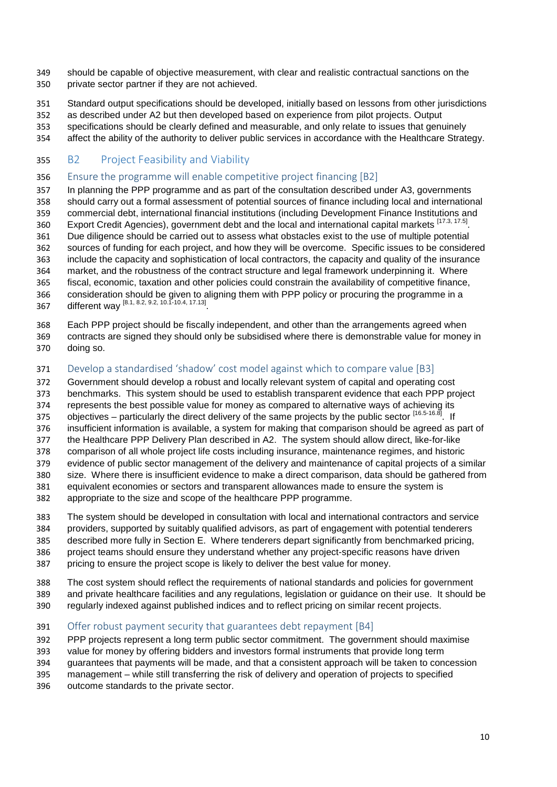- should be capable of objective measurement, with clear and realistic contractual sanctions on the private sector partner if they are not achieved.
- Standard output specifications should be developed, initially based on lessons from other jurisdictions
- as described under A2 but then developed based on experience from pilot projects. Output
- specifications should be clearly defined and measurable, and only relate to issues that genuinely
- affect the ability of the authority to deliver public services in accordance with the Healthcare Strategy.

### <span id="page-9-0"></span>B2 Project Feasibility and Viability

### <span id="page-9-1"></span>Ensure the programme will enable competitive project financing [B2]

 In planning the PPP programme and as part of the consultation described under A3, governments should carry out a formal assessment of potential sources of finance including local and international commercial debt, international financial institutions (including Development Finance Institutions and 360 Export Credit Agencies), government debt and the local and international capital markets [17.3, 17.5]. Due diligence should be carried out to assess what obstacles exist to the use of multiple potential sources of funding for each project, and how they will be overcome. Specific issues to be considered include the capacity and sophistication of local contractors, the capacity and quality of the insurance market, and the robustness of the contract structure and legal framework underpinning it. Where fiscal, economic, taxation and other policies could constrain the availability of competitive finance, consideration should be given to aligning them with PPP policy or procuring the programme in a 367 different way [8.1, 8.2, 9.2, 10.1-10.4, 17.13]

Each PPP project should be fiscally independent, and other than the arrangements agreed when

 contracts are signed they should only be subsidised where there is demonstrable value for money in doing so.

### <span id="page-9-2"></span>Develop a standardised 'shadow' cost model against which to compare value [B3]

Government should develop a robust and locally relevant system of capital and operating cost

- benchmarks. This system should be used to establish transparent evidence that each PPP project
- represents the best possible value for money as compared to alternative ways of achieving its
- 375 objectives particularly the direct delivery of the same projects by the public sector [16.5-16.8]. If
- insufficient information is available, a system for making that comparison should be agreed as part of
- the Healthcare PPP Delivery Plan described in A2. The system should allow direct, like-for-like
- comparison of all whole project life costs including insurance, maintenance regimes, and historic evidence of public sector management of the delivery and maintenance of capital projects of a similar
- size. Where there is insufficient evidence to make a direct comparison, data should be gathered from
- equivalent economies or sectors and transparent allowances made to ensure the system is
- appropriate to the size and scope of the healthcare PPP programme.
- The system should be developed in consultation with local and international contractors and service providers, supported by suitably qualified advisors, as part of engagement with potential tenderers described more fully in Section E. Where tenderers depart significantly from benchmarked pricing, project teams should ensure they understand whether any project-specific reasons have driven
- pricing to ensure the project scope is likely to deliver the best value for money.
- The cost system should reflect the requirements of national standards and policies for government
- and private healthcare facilities and any regulations, legislation or guidance on their use. It should be
- regularly indexed against published indices and to reflect pricing on similar recent projects.

### <span id="page-9-3"></span>391 Offer robust payment security that guarantees debt repayment [B4]

PPP projects represent a long term public sector commitment. The government should maximise

value for money by offering bidders and investors formal instruments that provide long term

guarantees that payments will be made, and that a consistent approach will be taken to concession

- management while still transferring the risk of delivery and operation of projects to specified
- outcome standards to the private sector.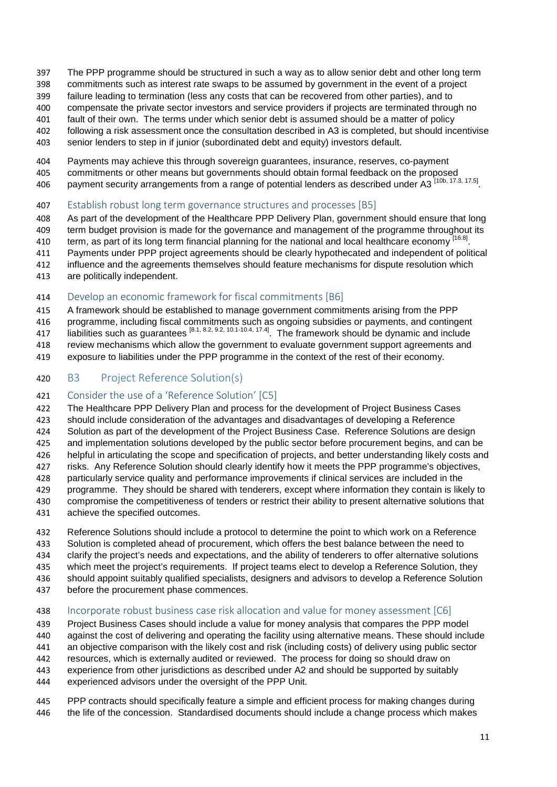- The PPP programme should be structured in such a way as to allow senior debt and other long term
- commitments such as interest rate swaps to be assumed by government in the event of a project
- failure leading to termination (less any costs that can be recovered from other parties), and to
- compensate the private sector investors and service providers if projects are terminated through no
- fault of their own. The terms under which senior debt is assumed should be a matter of policy following a risk assessment once the consultation described in A3 is completed, but should incentivise
- senior lenders to step in if junior (subordinated debt and equity) investors default.
- Payments may achieve this through sovereign guarantees, insurance, reserves, co-payment
- commitments or other means but governments should obtain formal feedback on the proposed
- payment security arrangements from a range of potential lenders as described under A3 [10b, 17.3, 17.5].
- <span id="page-10-0"></span>Establish robust long term governance structures and processes [B5]
- As part of the development of the Healthcare PPP Delivery Plan, government should ensure that long
- 409 term budget provision is made for the governance and management of the programme throughout its
- 410 term, as part of its long term financial planning for the national and local healthcare economy [16.8].
- Payments under PPP project agreements should be clearly hypothecated and independent of political
- influence and the agreements themselves should feature mechanisms for dispute resolution which
- are politically independent.

### <span id="page-10-1"></span>Develop an economic framework for fiscal commitments [B6]

- A framework should be established to manage government commitments arising from the PPP
- programme, including fiscal commitments such as ongoing subsidies or payments, and contingent
- liabilities such as guarantees [8.1, 8.2, 9.2, 10.1-10.4, 17.4] . The framework should be dynamic and include
- review mechanisms which allow the government to evaluate government support agreements and
- exposure to liabilities under the PPP programme in the context of the rest of their economy.
- <span id="page-10-2"></span>B3 Project Reference Solution(s)

### <span id="page-10-3"></span>Consider the use of a 'Reference Solution' [C5]

- The Healthcare PPP Delivery Plan and process for the development of Project Business Cases should include consideration of the advantages and disadvantages of developing a Reference 424 Solution as part of the development of the Project Business Case. Reference Solutions are design and implementation solutions developed by the public sector before procurement begins, and can be helpful in articulating the scope and specification of projects, and better understanding likely costs and risks. Any Reference Solution should clearly identify how it meets the PPP programme's objectives, particularly service quality and performance improvements if clinical services are included in the programme. They should be shared with tenderers, except where information they contain is likely to compromise the competitiveness of tenders or restrict their ability to present alternative solutions that achieve the specified outcomes.
- Reference Solutions should include a protocol to determine the point to which work on a Reference Solution is completed ahead of procurement, which offers the best balance between the need to clarify the project's needs and expectations, and the ability of tenderers to offer alternative solutions which meet the project's requirements. If project teams elect to develop a Reference Solution, they should appoint suitably qualified specialists, designers and advisors to develop a Reference Solution before the procurement phase commences.

### <span id="page-10-4"></span>Incorporate robust business case risk allocation and value for money assessment [C6]

- Project Business Cases should include a value for money analysis that compares the PPP model
- against the cost of delivering and operating the facility using alternative means. These should include
- an objective comparison with the likely cost and risk (including costs) of delivery using public sector
- resources, which is externally audited or reviewed. The process for doing so should draw on
- experience from other jurisdictions as described under A2 and should be supported by suitably
- experienced advisors under the oversight of the PPP Unit.
- PPP contracts should specifically feature a simple and efficient process for making changes during the life of the concession. Standardised documents should include a change process which makes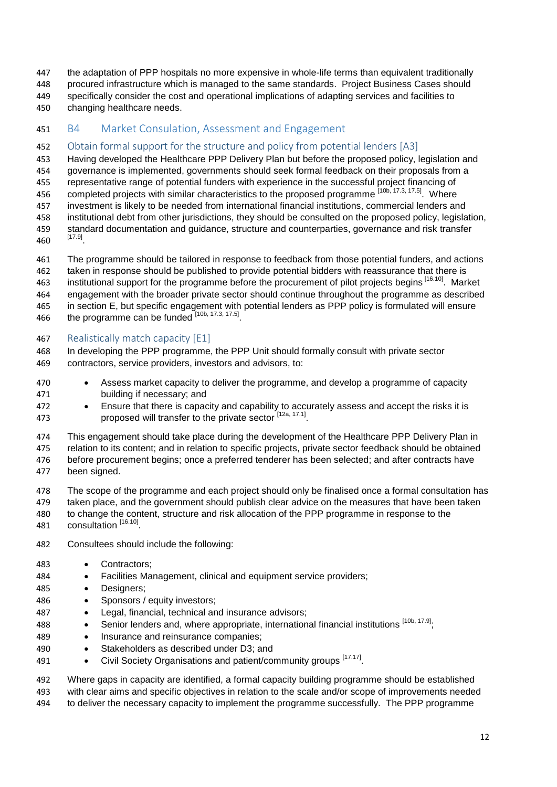- the adaptation of PPP hospitals no more expensive in whole-life terms than equivalent traditionally
- procured infrastructure which is managed to the same standards. Project Business Cases should
- specifically consider the cost and operational implications of adapting services and facilities to changing healthcare needs.
- <span id="page-11-0"></span>B4 Market Consulation, Assessment and Engagement

### <span id="page-11-1"></span>Obtain formal support for the structure and policy from potential lenders [A3]

- Having developed the Healthcare PPP Delivery Plan but before the proposed policy, legislation and
- governance is implemented, governments should seek formal feedback on their proposals from a
- representative range of potential funders with experience in the successful project financing of
- 456 completed projects with similar characteristics to the proposed programme [10b, 17.3, 17.5]. Where
- investment is likely to be needed from international financial institutions, commercial lenders and institutional debt from other jurisdictions, they should be consulted on the proposed policy, legislation,
- 459 standard documentation and guidance, structure and counterparties, governance and risk transfer<br>460 [17.9]
- The programme should be tailored in response to feedback from those potential funders, and actions taken in response should be published to provide potential bidders with reassurance that there is 463 institutional support for the programme before the procurement of pilot projects begins [16.10]. Market engagement with the broader private sector should continue throughout the programme as described
- in section E, but specific engagement with potential lenders as PPP policy is formulated will ensure 466 the programme can be funded  $[10b, 17.3, 17.5]$

## <span id="page-11-2"></span>467 Realistically match capacity [E1]

- In developing the PPP programme, the PPP Unit should formally consult with private sector contractors, service providers, investors and advisors, to:
- Assess market capacity to deliver the programme, and develop a programme of capacity building if necessary; and
- Ensure that there is capacity and capability to accurately assess and accept the risks it is 473 proposed will transfer to the private sector [12a, 17.1].
- This engagement should take place during the development of the Healthcare PPP Delivery Plan in
- relation to its content; and in relation to specific projects, private sector feedback should be obtained before procurement begins; once a preferred tenderer has been selected; and after contracts have been signed.
- The scope of the programme and each project should only be finalised once a formal consultation has taken place, and the government should publish clear advice on the measures that have been taken to change the content, structure and risk allocation of the PPP programme in response to the
- 481 consultation [16.10]
- Consultees should include the following:
- Contractors;
- Facilities Management, clinical and equipment service providers;
- Designers;
- 486 Sponsors / equity investors:
- Legal, financial, technical and insurance advisors;
- 488 Senior lenders and, where appropriate, international financial institutions [10b, 17.9].
- Insurance and reinsurance companies;
- Stakeholders as described under D3; and
- 491 Civil Society Organisations and patient/community groups [17.17].

 Where gaps in capacity are identified, a formal capacity building programme should be established with clear aims and specific objectives in relation to the scale and/or scope of improvements needed to deliver the necessary capacity to implement the programme successfully. The PPP programme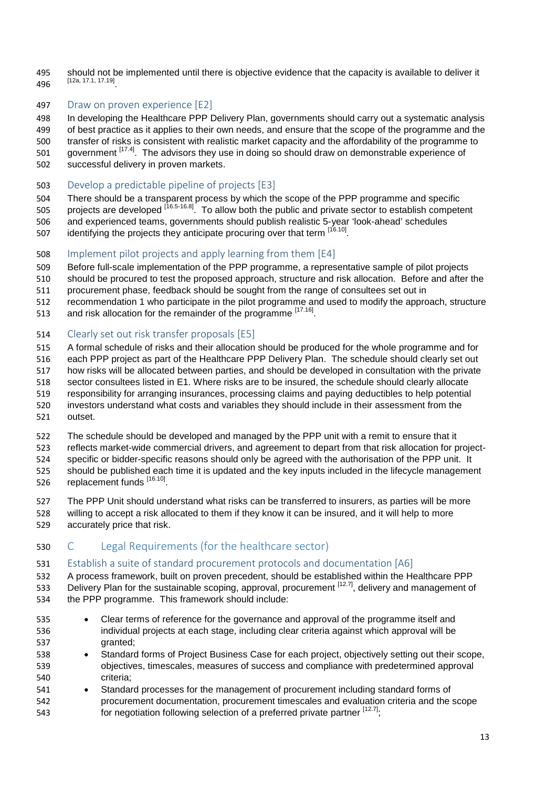should not be implemented until there is objective evidence that the capacity is available to deliver it [12a, 17.1, 17.19] .

### <span id="page-12-0"></span>497 Draw on proven experience [E2]

In developing the Healthcare PPP Delivery Plan, governments should carry out a systematic analysis

of best practice as it applies to their own needs, and ensure that the scope of the programme and the

transfer of risks is consistent with realistic market capacity and the affordability of the programme to

501 government [17.4]. The advisors they use in doing so should draw on demonstrable experience of

- successful delivery in proven markets.
- <span id="page-12-1"></span>Develop a predictable pipeline of projects [E3]

There should be a transparent process by which the scope of the PPP programme and specific

505 . projects are developed <sup>[16.5-16.8]</sup> To allow both the public and private sector to establish competent

- and experienced teams, governments should publish realistic 5-year 'look-ahead' schedules
- 507 identifying the projects they anticipate procuring over that term  $[16.10]$ .
- <span id="page-12-2"></span>Implement pilot projects and apply learning from them [E4]
- Before full-scale implementation of the PPP programme, a representative sample of pilot projects
- should be procured to test the proposed approach, structure and risk allocation. Before and after the
- procurement phase, feedback should be sought from the range of consultees set out in
- recommendation 1 who participate in the pilot programme and used to modify the approach, structure
- 513 and risk allocation for the remainder of the programme  $[17.16]$ .

### <span id="page-12-3"></span>Clearly set out risk transfer proposals [E5]

- A formal schedule of risks and their allocation should be produced for the whole programme and for
- each PPP project as part of the Healthcare PPP Delivery Plan. The schedule should clearly set out
- how risks will be allocated between parties, and should be developed in consultation with the private
- sector consultees listed in E1. Where risks are to be insured, the schedule should clearly allocate
- responsibility for arranging insurances, processing claims and paying deductibles to help potential
- investors understand what costs and variables they should include in their assessment from the
- outset.

The schedule should be developed and managed by the PPP unit with a remit to ensure that it

reflects market-wide commercial drivers, and agreement to depart from that risk allocation for project-

 specific or bidder-specific reasons should only be agreed with the authorisation of the PPP unit. It should be published each time it is updated and the key inputs included in the lifecycle management

- 526 replacement funds [16.10]
- The PPP Unit should understand what risks can be transferred to insurers, as parties will be more
- willing to accept a risk allocated to them if they know it can be insured, and it will help to more accurately price that risk.

### <span id="page-12-4"></span>C Legal Requirements (for the healthcare sector)

### <span id="page-12-5"></span>Establish a suite of standard procurement protocols and documentation [A6]

- A process framework, built on proven precedent, should be established within the Healthcare PPP 533 Delivery Plan for the sustainable scoping, approval, procurement <sup>[12.7]</sup>, delivery and management of
- the PPP programme. This framework should include:
- Clear terms of reference for the governance and approval of the programme itself and individual projects at each stage, including clear criteria against which approval will be granted;
- Standard forms of Project Business Case for each project, objectively setting out their scope, objectives, timescales, measures of success and compliance with predetermined approval criteria;
- Standard processes for the management of procurement including standard forms of procurement documentation, procurement timescales and evaluation criteria and the scope 543 **for negotiation following selection of a preferred private partner**  $[12.7]$ ;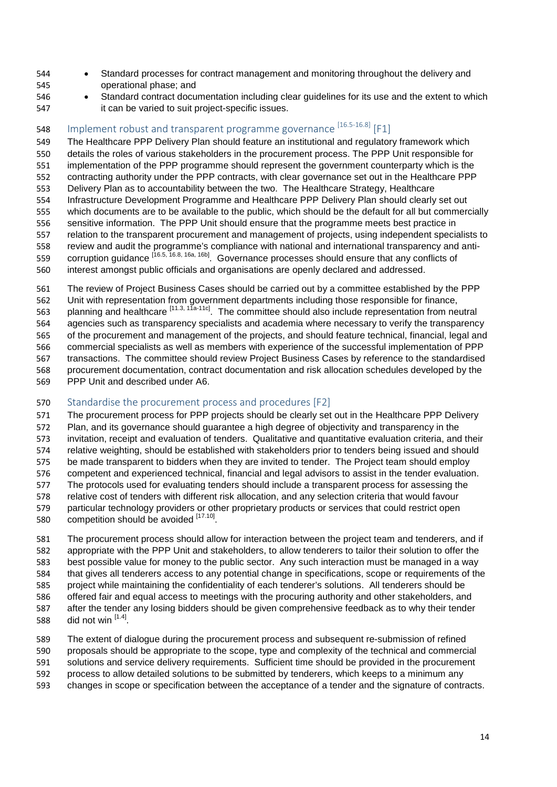- Standard processes for contract management and monitoring throughout the delivery and operational phase; and
- Standard contract documentation including clear guidelines for its use and the extent to which it can be varied to suit project-specific issues.

## <span id="page-13-0"></span>548 Implement robust and transparent programme governance <sup>[16.5-16.8]</sup> [F1]

 The Healthcare PPP Delivery Plan should feature an institutional and regulatory framework which details the roles of various stakeholders in the procurement process. The PPP Unit responsible for implementation of the PPP programme should represent the government counterparty which is the contracting authority under the PPP contracts, with clear governance set out in the Healthcare PPP Delivery Plan as to accountability between the two. The Healthcare Strategy, Healthcare Infrastructure Development Programme and Healthcare PPP Delivery Plan should clearly set out which documents are to be available to the public, which should be the default for all but commercially sensitive information. The PPP Unit should ensure that the programme meets best practice in relation to the transparent procurement and management of projects, using independent specialists to review and audit the programme's compliance with national and international transparency and anticorruption guidance [16.5, 16.8, 16a, 16b]. Governance processes should ensure that any conflicts of interest amongst public officials and organisations are openly declared and addressed.

 The review of Project Business Cases should be carried out by a committee established by the PPP Unit with representation from government departments including those responsible for finance, 563 planning and healthcare [11.3, 11a-11c]. The committee should also include representation from neutral agencies such as transparency specialists and academia where necessary to verify the transparency of the procurement and management of the projects, and should feature technical, financial, legal and commercial specialists as well as members with experience of the successful implementation of PPP transactions. The committee should review Project Business Cases by reference to the standardised procurement documentation, contract documentation and risk allocation schedules developed by the PPP Unit and described under A6.

### <span id="page-13-1"></span>Standardise the procurement process and procedures [F2]

 The procurement process for PPP projects should be clearly set out in the Healthcare PPP Delivery Plan, and its governance should guarantee a high degree of objectivity and transparency in the invitation, receipt and evaluation of tenders. Qualitative and quantitative evaluation criteria, and their relative weighting, should be established with stakeholders prior to tenders being issued and should be made transparent to bidders when they are invited to tender. The Project team should employ competent and experienced technical, financial and legal advisors to assist in the tender evaluation. The protocols used for evaluating tenders should include a transparent process for assessing the relative cost of tenders with different risk allocation, and any selection criteria that would favour particular technology providers or other proprietary products or services that could restrict open 580 . competition should be avoided  $[17.10]$ .

 The procurement process should allow for interaction between the project team and tenderers, and if appropriate with the PPP Unit and stakeholders, to allow tenderers to tailor their solution to offer the best possible value for money to the public sector. Any such interaction must be managed in a way that gives all tenderers access to any potential change in specifications, scope or requirements of the project while maintaining the confidentiality of each tenderer's solutions. All tenderers should be offered fair and equal access to meetings with the procuring authority and other stakeholders, and after the tender any losing bidders should be given comprehensive feedback as to why their tender 588 did not win  $[1.4]$ .

 The extent of dialogue during the procurement process and subsequent re-submission of refined proposals should be appropriate to the scope, type and complexity of the technical and commercial solutions and service delivery requirements. Sufficient time should be provided in the procurement process to allow detailed solutions to be submitted by tenderers, which keeps to a minimum any changes in scope or specification between the acceptance of a tender and the signature of contracts.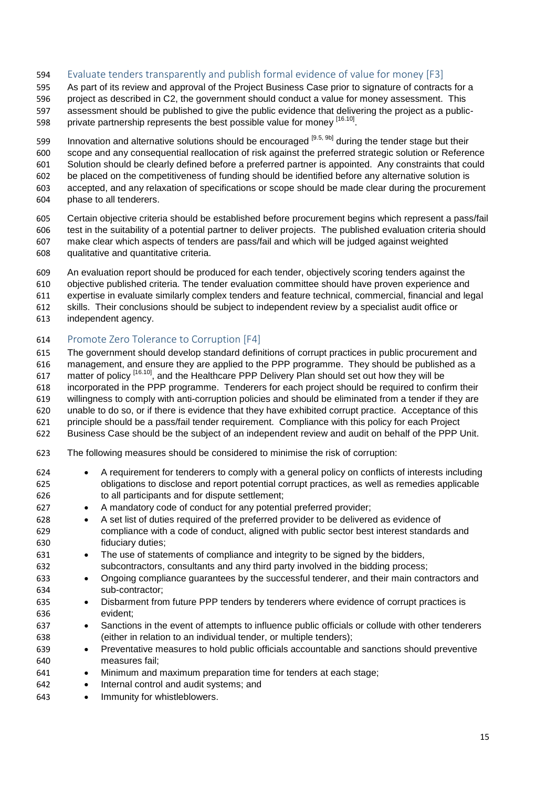<span id="page-14-0"></span>Evaluate tenders transparently and publish formal evidence of value for money [F3]

 As part of its review and approval of the Project Business Case prior to signature of contracts for a project as described in C2, the government should conduct a value for money assessment. This assessment should be published to give the public evidence that delivering the project as a public-598 private partnership represents the best possible value for money [16.10].

- 599 Innovation and alternative solutions should be encouraged [9.5, 9b] during the tender stage but their
- scope and any consequential reallocation of risk against the preferred strategic solution or Reference
- Solution should be clearly defined before a preferred partner is appointed. Any constraints that could
- be placed on the competitiveness of funding should be identified before any alternative solution is accepted, and any relaxation of specifications or scope should be made clear during the procurement
- phase to all tenderers.
- Certain objective criteria should be established before procurement begins which represent a pass/fail test in the suitability of a potential partner to deliver projects. The published evaluation criteria should make clear which aspects of tenders are pass/fail and which will be judged against weighted qualitative and quantitative criteria.
- An evaluation report should be produced for each tender, objectively scoring tenders against the
- objective published criteria. The tender evaluation committee should have proven experience and
- expertise in evaluate similarly complex tenders and feature technical, commercial, financial and legal
- skills. Their conclusions should be subject to independent review by a specialist audit office or
- independent agency.

### <span id="page-14-1"></span>Promote Zero Tolerance to Corruption [F4]

- The government should develop standard definitions of corrupt practices in public procurement and management, and ensure they are applied to the PPP programme. They should be published as a 617 matter of policy <sup>[16.10]</sup>, and the Healthcare PPP Delivery Plan should set out how they will be incorporated in the PPP programme. Tenderers for each project should be required to confirm their willingness to comply with anti-corruption policies and should be eliminated from a tender if they are unable to do so, or if there is evidence that they have exhibited corrupt practice. Acceptance of this principle should be a pass/fail tender requirement. Compliance with this policy for each Project
- Business Case should be the subject of an independent review and audit on behalf of the PPP Unit.
- The following measures should be considered to minimise the risk of corruption:
- A requirement for tenderers to comply with a general policy on conflicts of interests including obligations to disclose and report potential corrupt practices, as well as remedies applicable to all participants and for dispute settlement;
- A mandatory code of conduct for any potential preferred provider;
- A set list of duties required of the preferred provider to be delivered as evidence of compliance with a code of conduct, aligned with public sector best interest standards and fiduciary duties;
- The use of statements of compliance and integrity to be signed by the bidders, subcontractors, consultants and any third party involved in the bidding process;
- Ongoing compliance guarantees by the successful tenderer, and their main contractors and sub-contractor;
- Disbarment from future PPP tenders by tenderers where evidence of corrupt practices is evident;
- Sanctions in the event of attempts to influence public officials or collude with other tenderers (either in relation to an individual tender, or multiple tenders);
- Preventative measures to hold public officials accountable and sanctions should preventive measures fail;
- Minimum and maximum preparation time for tenders at each stage;
- Internal control and audit systems; and
- Immunity for whistleblowers.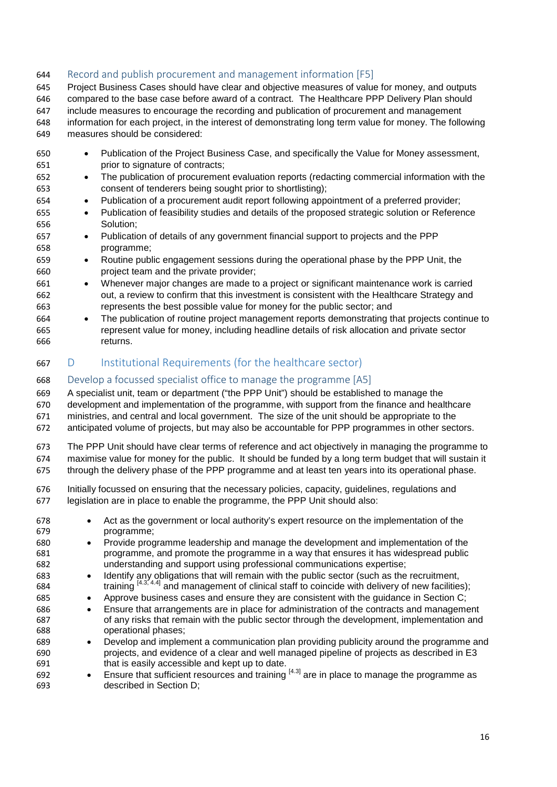### <span id="page-15-0"></span>Record and publish procurement and management information [F5]

 Project Business Cases should have clear and objective measures of value for money, and outputs compared to the base case before award of a contract. The Healthcare PPP Delivery Plan should include measures to encourage the recording and publication of procurement and management information for each project, in the interest of demonstrating long term value for money. The following measures should be considered:

- Publication of the Project Business Case, and specifically the Value for Money assessment, prior to signature of contracts;
- The publication of procurement evaluation reports (redacting commercial information with the consent of tenderers being sought prior to shortlisting);
- Publication of a procurement audit report following appointment of a preferred provider;
- Publication of feasibility studies and details of the proposed strategic solution or Reference Solution;
- Publication of details of any government financial support to projects and the PPP programme;
- Routine public engagement sessions during the operational phase by the PPP Unit, the project team and the private provider;
- Whenever major changes are made to a project or significant maintenance work is carried out, a review to confirm that this investment is consistent with the Healthcare Strategy and represents the best possible value for money for the public sector; and
- The publication of routine project management reports demonstrating that projects continue to represent value for money, including headline details of risk allocation and private sector returns.
- <span id="page-15-1"></span>D Institutional Requirements (for the healthcare sector)

### <span id="page-15-2"></span>Develop a focussed specialist office to manage the programme [A5]

A specialist unit, team or department ("the PPP Unit") should be established to manage the

 development and implementation of the programme, with support from the finance and healthcare ministries, and central and local government. The size of the unit should be appropriate to the

- anticipated volume of projects, but may also be accountable for PPP programmes in other sectors.
- The PPP Unit should have clear terms of reference and act objectively in managing the programme to maximise value for money for the public. It should be funded by a long term budget that will sustain it
- through the delivery phase of the PPP programme and at least ten years into its operational phase.
- Initially focussed on ensuring that the necessary policies, capacity, guidelines, regulations and legislation are in place to enable the programme, the PPP Unit should also:
- Act as the government or local authority's expert resource on the implementation of the programme;
- Provide programme leadership and manage the development and implementation of the programme, and promote the programme in a way that ensures it has widespread public understanding and support using professional communications expertise;
- Identify any obligations that will remain with the public sector (such as the recruitment, 684 **but training**  $[4.3, 4.4]$  and management of clinical staff to coincide with delivery of new facilities);
- Approve business cases and ensure they are consistent with the guidance in Section C;
- Ensure that arrangements are in place for administration of the contracts and management of any risks that remain with the public sector through the development, implementation and operational phases;
- Develop and implement a communication plan providing publicity around the programme and projects, and evidence of a clear and well managed pipeline of projects as described in E3 that is easily accessible and kept up to date.
- $\bullet$  Ensure that sufficient resources and training  $[4.3]$  are in place to manage the programme as described in Section D;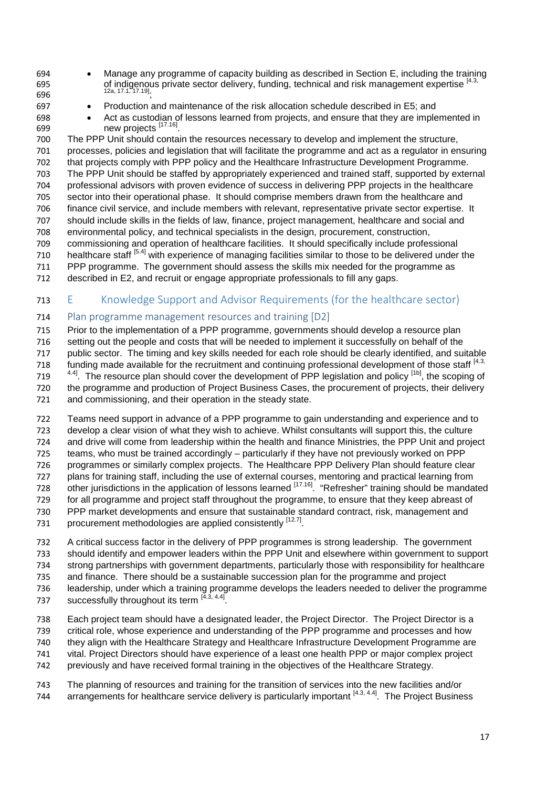- 
- Manage any programme of capacity building as described in Section E, including the training 695 of indigenous private sector delivery, funding, technical and risk management expertise [4.3,  $12a, 17.1, 17.19$
- Production and maintenance of the risk allocation schedule described in E5; and
- Act as custodian of lessons learned from projects, and ensure that they are implemented in . new projects  $^{[17,16]}$ .

 The PPP Unit should contain the resources necessary to develop and implement the structure, processes, policies and legislation that will facilitate the programme and act as a regulator in ensuring that projects comply with PPP policy and the Healthcare Infrastructure Development Programme. The PPP Unit should be staffed by appropriately experienced and trained staff, supported by external professional advisors with proven evidence of success in delivering PPP projects in the healthcare sector into their operational phase. It should comprise members drawn from the healthcare and finance civil service, and include members with relevant, representative private sector expertise. It should include skills in the fields of law, finance, project management, healthcare and social and environmental policy, and technical specialists in the design, procurement, construction, commissioning and operation of healthcare facilities. It should specifically include professional 710 healthcare staff [5.4] with experience of managing facilities similar to those to be delivered under the PPP programme. The government should assess the skills mix needed for the programme as

described in E2, and recruit or engage appropriate professionals to fill any gaps.

### <span id="page-16-0"></span>E Knowledge Support and Advisor Requirements (for the healthcare sector)

### <span id="page-16-1"></span>Plan programme management resources and training [D2]

 Prior to the implementation of a PPP programme, governments should develop a resource plan setting out the people and costs that will be needed to implement it successfully on behalf of the public sector. The timing and key skills needed for each role should be clearly identified, and suitable 718 funding made available for the recruitment and continuing professional development of those staff  $[4.3, 718]$  $4.4$ <sup>1.4]</sup>. The resource plan should cover the development of PPP legislation and policy <sup>[1b]</sup>, the scoping of the programme and production of Project Business Cases, the procurement of projects, their delivery and commissioning, and their operation in the steady state.

 Teams need support in advance of a PPP programme to gain understanding and experience and to develop a clear vision of what they wish to achieve. Whilst consultants will support this, the culture and drive will come from leadership within the health and finance Ministries, the PPP Unit and project teams, who must be trained accordingly – particularly if they have not previously worked on PPP programmes or similarly complex projects. The Healthcare PPP Delivery Plan should feature clear plans for training staff, including the use of external courses, mentoring and practical learning from ze but increased in the application of lessons learned <sup>[17.16]</sup> "Refresher" training should be mandated and the mandated for all programme and project staff throughout the programme, to ensure that they keep abreast of PPP market developments and ensure that sustainable standard contract, risk, management and 731 . procurement methodologies are applied consistently  $[12.7]$ .

 A critical success factor in the delivery of PPP programmes is strong leadership. The government should identify and empower leaders within the PPP Unit and elsewhere within government to support strong partnerships with government departments, particularly those with responsibility for healthcare and finance. There should be a sustainable succession plan for the programme and project leadership, under which a training programme develops the leaders needed to deliver the programme 737 successfully throughout its term  $\left[\frac{4.3, 4.4\right]$ .

- Each project team should have a designated leader, the Project Director. The Project Director is a
- critical role, whose experience and understanding of the PPP programme and processes and how
- they align with the Healthcare Strategy and Healthcare Infrastructure Development Programme are
- vital. Project Directors should have experience of a least one health PPP or major complex project previously and have received formal training in the objectives of the Healthcare Strategy.
- 
- The planning of resources and training for the transition of services into the new facilities and/or 744 arrangements for healthcare service delivery is particularly important  $[4.3, 4.4]$ . The Project Business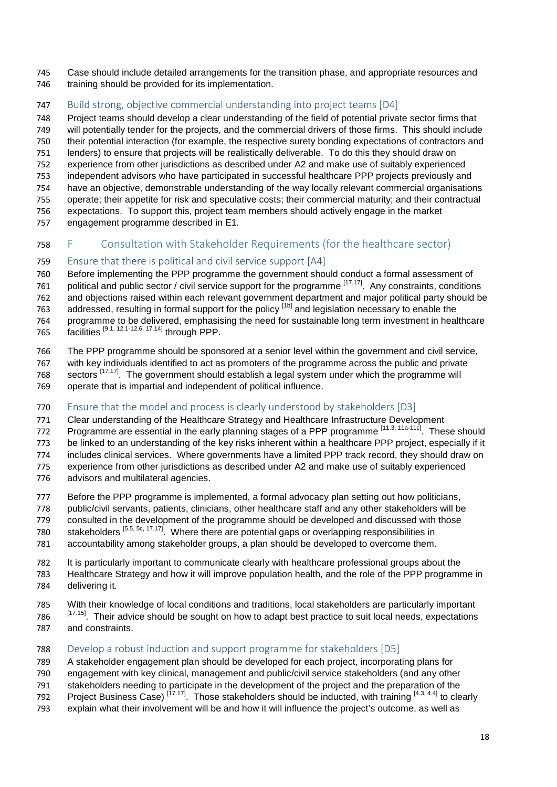- Case should include detailed arrangements for the transition phase, and appropriate resources and 746 training should be provided for its implementation.
- <span id="page-17-0"></span>Build strong, objective commercial understanding into project teams [D4]

 Project teams should develop a clear understanding of the field of potential private sector firms that will potentially tender for the projects, and the commercial drivers of those firms. This should include their potential interaction (for example, the respective surety bonding expectations of contractors and lenders) to ensure that projects will be realistically deliverable. To do this they should draw on

- experience from other jurisdictions as described under A2 and make use of suitably experienced
- independent advisors who have participated in successful healthcare PPP projects previously and
- have an objective, demonstrable understanding of the way locally relevant commercial organisations
- operate; their appetite for risk and speculative costs; their commercial maturity; and their contractual expectations. To support this, project team members should actively engage in the market
- engagement programme described in E1.

## <span id="page-17-1"></span>F Consultation with Stakeholder Requirements (for the healthcare sector)

### <span id="page-17-2"></span>Ensure that there is political and civil service support [A4]

Before implementing the PPP programme the government should conduct a formal assessment of

761 political and public sector / civil service support for the programme [17.17]. Any constraints, conditions

 and objections raised within each relevant government department and major political party should be 763 addressed, resulting in formal support for the policy <sup>[1b]</sup> and legislation necessary to enable the

programme to be delivered, emphasising the need for sustainable long term investment in healthcare

- 765 facilities <sup>[9.1, 12.1-12.6, 17.14]</sup> through PPP.
- The PPP programme should be sponsored at a senior level within the government and civil service,
- with key individuals identified to act as promoters of the programme across the public and private
- 768 sectors [17.17]. The government should establish a legal system under which the programme will
- operate that is impartial and independent of political influence.

### <span id="page-17-3"></span>770 Ensure that the model and process is clearly understood by stakeholders [D3]

- Clear understanding of the Healthcare Strategy and Healthcare Infrastructure Development
- Programme are essential in the early planning stages of a PPP programme [11.3, 11a-11c]. These should
- be linked to an understanding of the key risks inherent within a healthcare PPP project, especially if it
- includes clinical services. Where governments have a limited PPP track record, they should draw on
- experience from other jurisdictions as described under A2 and make use of suitably experienced
- advisors and multilateral agencies.
- Before the PPP programme is implemented, a formal advocacy plan setting out how politicians,
- 778 public/civil servants, patients, clinicians, other healthcare staff and any other stakeholders will be
- consulted in the development of the programme should be developed and discussed with those
- 780 stakeholders  $[5.5, 5c, 17.17]$ . Where there are potential gaps or overlapping responsibilities in
- accountability among stakeholder groups, a plan should be developed to overcome them.
- It is particularly important to communicate clearly with healthcare professional groups about the Healthcare Strategy and how it will improve population health, and the role of the PPP programme in delivering it.
- With their knowledge of local conditions and traditions, local stakeholders are particularly important
- 786 <sup>[17.15]</sup>. Their advice should be sought on how to adapt best practice to suit local needs, expectations and constraints.

### <span id="page-17-4"></span>788 Develop a robust induction and support programme for stakeholders [D5]

A stakeholder engagement plan should be developed for each project, incorporating plans for

- engagement with key clinical, management and public/civil service stakeholders (and any other
- stakeholders needing to participate in the development of the project and the preparation of the
- 792 Project Business Case)  $\frac{[17.17]}{]}$ . Those stakeholders should be inducted, with training  $\frac{[4.3, 4.4]}{]}$  to clearly
- explain what their involvement will be and how it will influence the project's outcome, as well as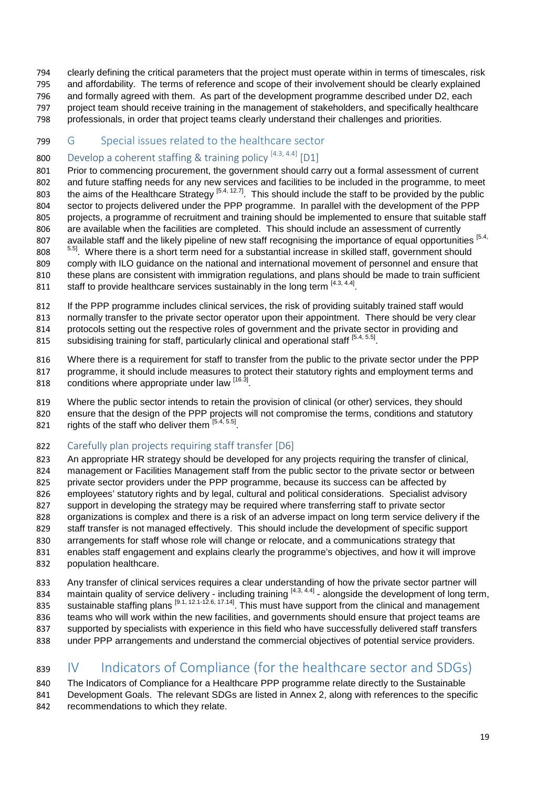- clearly defining the critical parameters that the project must operate within in terms of timescales, risk
- and affordability. The terms of reference and scope of their involvement should be clearly explained and formally agreed with them. As part of the development programme described under D2, each project team should receive training in the management of stakeholders, and specifically healthcare
- professionals, in order that project teams clearly understand their challenges and priorities.

### <span id="page-18-0"></span>G Special issues related to the healthcare sector

## <span id="page-18-1"></span>800 Develop a coherent staffing & training policy  $[4.3, 4.4]$  [D1]

 Prior to commencing procurement, the government should carry out a formal assessment of current and future staffing needs for any new services and facilities to be included in the programme, to meet the aims of the Healthcare Strategy <sup>[5.4, 12.7]</sup>. This should include the staff to be provided by the public the aims of the Healthcare Strategy <sup>[5.4, 12.7]</sup>. This should include the staff to be provided by the public sector to projects delivered under the PPP programme. In parallel with the development of the PPP projects, a programme of recruitment and training should be implemented to ensure that suitable staff are available when the facilities are completed. This should include an assessment of currently 807 available staff and the likely pipeline of new staff recognising the importance of equal opportunities [5.4, 808 <sup>5.5]</sup>. Where there is a short term need for a substantial increase in skilled staff, government should comply with ILO guidance on the national and international movement of personnel and ensure that

- these plans are consistent with immigration regulations, and plans should be made to train sufficient 811 staff to provide healthcare services sustainably in the long term  $[4.3, 4.4]$ .
- If the PPP programme includes clinical services, the risk of providing suitably trained staff would

normally transfer to the private sector operator upon their appointment. There should be very clear

protocols setting out the respective roles of government and the private sector in providing and

- 815 subsidising training for staff, particularly clinical and operational staff  $[5.4, 5.5]$ .
- Where there is a requirement for staff to transfer from the public to the private sector under the PPP
- programme, it should include measures to protect their statutory rights and employment terms and 818 conditions where appropriate under law [16.3].
- Where the public sector intends to retain the provision of clinical (or other) services, they should ensure that the design of the PPP projects will not compromise the terms, conditions and statutory
- 821 rights of the staff who deliver them  $[5.4, 5.5]$ .

### <span id="page-18-2"></span>Carefully plan projects requiring staff transfer [D6]

 An appropriate HR strategy should be developed for any projects requiring the transfer of clinical, management or Facilities Management staff from the public sector to the private sector or between private sector providers under the PPP programme, because its success can be affected by employees' statutory rights and by legal, cultural and political considerations. Specialist advisory support in developing the strategy may be required where transferring staff to private sector organizations is complex and there is a risk of an adverse impact on long term service delivery if the staff transfer is not managed effectively. This should include the development of specific support arrangements for staff whose role will change or relocate, and a communications strategy that enables staff engagement and explains clearly the programme's objectives, and how it will improve population healthcare.

 Any transfer of clinical services requires a clear understanding of how the private sector partner will  $\ldots$  maintain quality of service delivery - including training  $[4.3, 4.4]$  - alongside the development of long term, 835 sustainable staffing plans  $[9.1, 12.1-12.6, 17.14]$ . This must have support from the clinical and management teams who will work within the new facilities, and governments should ensure that project teams are supported by specialists with experience in this field who have successfully delivered staff transfers under PPP arrangements and understand the commercial objectives of potential service providers.

## <span id="page-18-3"></span>IV Indicators of Compliance (for the healthcare sector and SDGs)

 The Indicators of Compliance for a Healthcare PPP programme relate directly to the Sustainable Development Goals. The relevant SDGs are listed in Annex 2, along with references to the specific recommendations to which they relate.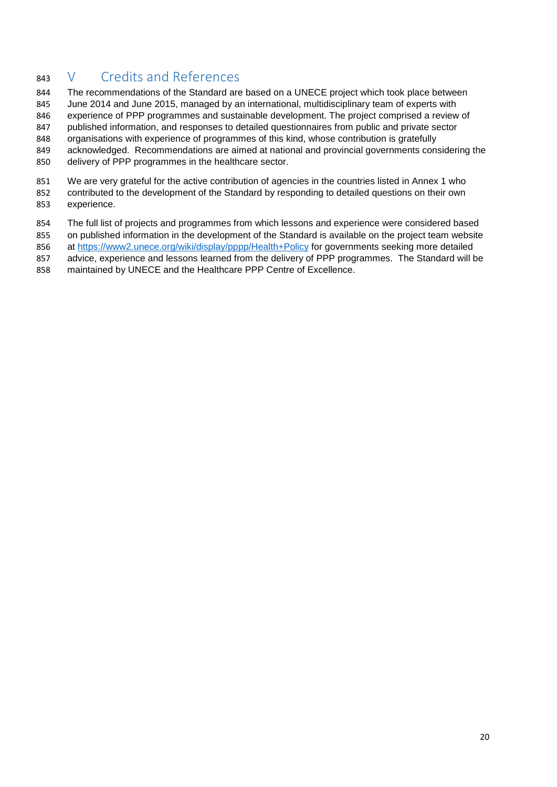## <span id="page-19-0"></span>V Credits and References

844 The recommendations of the Standard are based on a UNECE project which took place between

 June 2014 and June 2015, managed by an international, multidisciplinary team of experts with experience of PPP programmes and sustainable development. The project comprised a review of

published information, and responses to detailed questionnaires from public and private sector

organisations with experience of programmes of this kind, whose contribution is gratefully

acknowledged. Recommendations are aimed at national and provincial governments considering the

delivery of PPP programmes in the healthcare sector.

 We are very grateful for the active contribution of agencies in the countries listed in Annex 1 who contributed to the development of the Standard by responding to detailed questions on their own experience.

The full list of projects and programmes from which lessons and experience were considered based

on published information in the development of the Standard is available on the project team website

at<https://www2.unece.org/wiki/display/pppp/Health+Policy> for governments seeking more detailed

857 advice, experience and lessons learned from the delivery of PPP programmes. The Standard will be

maintained by UNECE and the Healthcare PPP Centre of Excellence.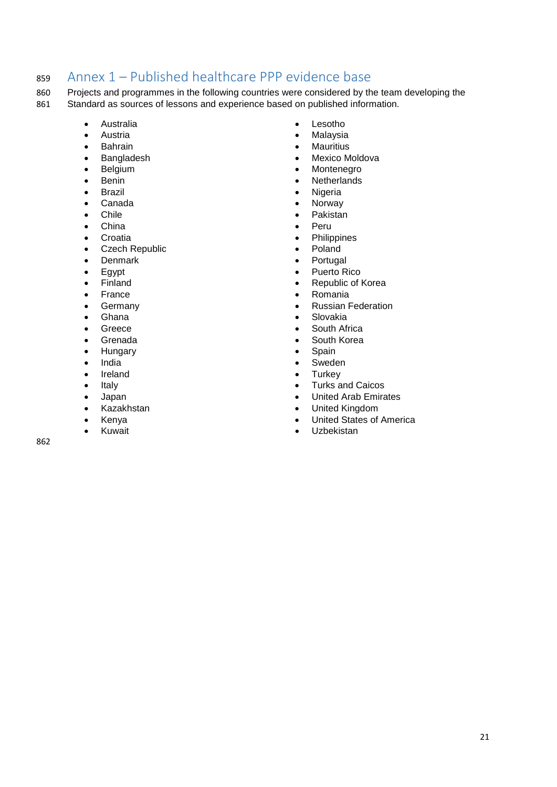## <span id="page-20-0"></span><sup>859</sup> Annex 1 – Published healthcare PPP evidence base

860 Projects and programmes in the following countries were considered by the team developing the 861 Standard as sources of lessons and experience based on published information.

- Australia
- Austria
- Bahrain
- Bangladesh
- Belgium
- Benin
- Brazil
- Canada
- Chile
- China
- Croatia
- Czech Republic
- Denmark
- Egypt
- Finland
- France
- Germany
- Ghana
- Greece
- Grenada
- Hungary
- India
- Ireland
- Italy
- Japan
- Kazakhstan
- Kenya • Kuwait

862

- Lesotho
- Malaysia
- Mauritius
- Mexico Moldova
- Montenegro
- Netherlands
- **Nigeria**
- Norway
- Pakistan
- Peru
	- Philippines
- Poland
- **Portugal**
- Puerto Rico
- Republic of Korea
- Romania
- Russian Federation
- Slovakia
- South Africa
- South Korea
- **Spain**
- Sweden
- Turkey
- Turks and Caicos
- United Arab Emirates
- United Kingdom
- United States of America
- Uzbekistan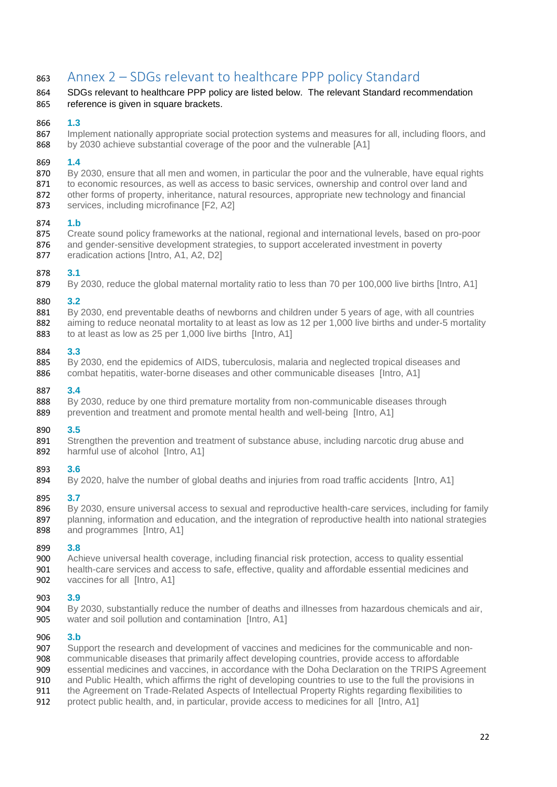## <span id="page-21-0"></span>Annex 2 – SDGs relevant to healthcare PPP policy Standard

### SDGs relevant to healthcare PPP policy are listed below. The relevant Standard recommendation reference is given in square brackets.

### **1.3**

867 Implement nationally appropriate social protection systems and measures for all, including floors, and by 2030 achieve substantial coverage of the poor and the vulnerable [A1]

### **1.4**

- By 2030, ensure that all men and women, in particular the poor and the vulnerable, have equal rights 871 to economic resources, as well as access to basic services, ownership and control over land and
- other forms of property, inheritance, natural resources, appropriate new technology and financial services, including microfinance [F2, A2]

### **1.b**

- Create sound policy frameworks at the national, regional and international levels, based on pro-poor
- 876 and gender-sensitive development strategies, to support accelerated investment in poverty
- 877 eradication actions [Intro, A1, A2, D2]

### **3.1**

By 2030, reduce the global maternal mortality ratio to less than 70 per 100,000 live births [Intro, A1]

### **3.2**

- 881 By 2030, end preventable deaths of newborns and children under 5 years of age, with all countries
- 882 aiming to reduce neonatal mortality to at least as low as 12 per 1,000 live births and under-5 mortality to at least as low as 25 per 1,000 live births [Intro, A1]

### **3.3**

 By 2030, end the epidemics of AIDS, tuberculosis, malaria and neglected tropical diseases and combat hepatitis, water-borne diseases and other communicable diseases [Intro, A1]

### **3.4**

 By 2030, reduce by one third premature mortality from non-communicable diseases through 889 prevention and treatment and promote mental health and well-being [Intro, A1]

### **3.5**

 Strengthen the prevention and treatment of substance abuse, including narcotic drug abuse and 892 harmful use of alcohol [Intro, A1]

### **3.6**

By 2020, halve the number of global deaths and injuries from road traffic accidents [Intro, A1]

### **3.7**

896 By 2030, ensure universal access to sexual and reproductive health-care services, including for family 897 planning, information and education, and the integration of reproductive health into national strategies and programmes [Intro, A1] and programmes [Intro, A1]

### **3.8**

 Achieve universal health coverage, including financial risk protection, access to quality essential 901 health-care services and access to safe, effective, quality and affordable essential medicines and<br>902 vaccines for all Ilntro, A11 vaccines for all [Intro, A1]

# **3.9**

By 2030, substantially reduce the number of deaths and illnesses from hazardous chemicals and air, water and soil pollution and contamination [Intro, A1]

- **3.b** Support the research and development of vaccines and medicines for the communicable and non-
- communicable diseases that primarily affect developing countries, provide access to affordable
- 909 essential medicines and vaccines, in accordance with the Doha Declaration on the TRIPS Agreement<br>910 and Public Health, which affirms the right of developing countries to use to the full the provisions in
- 910 and Public Health, which affirms the right of developing countries to use to the full the provisions in<br>911 the Agreement on Trade-Related Aspects of Intellectual Property Rights regarding flexibilities to
- the Agreement on Trade-Related Aspects of Intellectual Property Rights regarding flexibilities to
- protect public health, and, in particular, provide access to medicines for all [Intro, A1]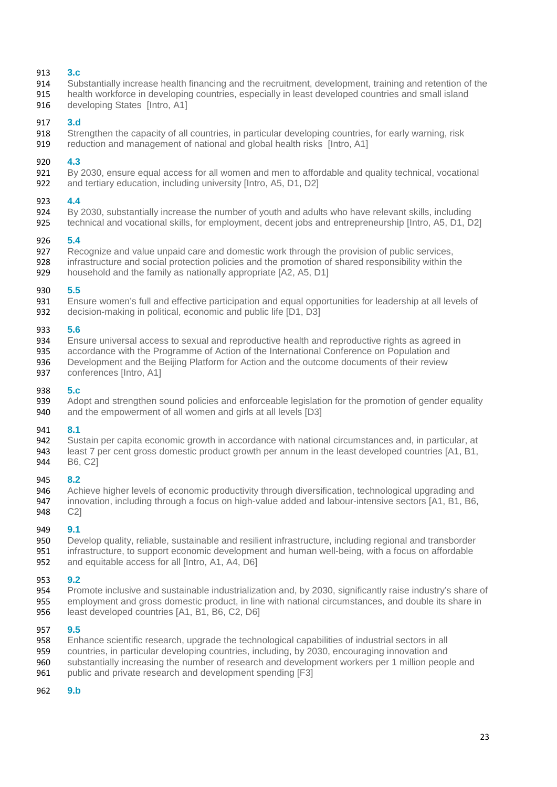### **3.c**

- Substantially increase health financing and the recruitment, development, training and retention of the
- health workforce in developing countries, especially in least developed countries and small island 916 developing States [Intro, A1]
- 

### **3.d**

- Strengthen the capacity of all countries, in particular developing countries, for early warning, risk
- reduction and management of national and global health risks [Intro, A1]

### **4.3**

- By 2030, ensure equal access for all women and men to affordable and quality technical, vocational
- and tertiary education, including university [Intro, A5, D1, D2]

### **4.4**

- By 2030, substantially increase the number of youth and adults who have relevant skills, including
- technical and vocational skills, for employment, decent jobs and entrepreneurship [Intro, A5, D1, D2]

# **5.4**

- 927 Recognize and value unpaid care and domestic work through the provision of public services,<br>928 infrastructure and social protection policies and the promotion of shared responsibility within the
- infrastructure and social protection policies and the promotion of shared responsibility within the
- household and the family as nationally appropriate [A2, A5, D1]

# **5.5**

- Ensure women's full and effective participation and equal opportunities for leadership at all levels of
- decision-making in political, economic and public life [D1, D3]

### **5.6**

- Ensure universal access to sexual and reproductive health and reproductive rights as agreed in
- 935 accordance with the Programme of Action of the International Conference on Population and<br>936 Development and the Beijing Platform for Action and the outcome documents of their review
- Development and the Beijing Platform for Action and the outcome documents of their review
- conferences [Intro, A1]

### **5.c**

 Adopt and strengthen sound policies and enforceable legislation for the promotion of gender equality and the empowerment of all women and girls at all levels [D3]

### **8.1**

- Sustain per capita economic growth in accordance with national circumstances and, in particular, at least 7 per cent gross domestic product growth per annum in the least developed countries [A1, B1,
- 
- B6, C2]

### **8.2**

- Achieve higher levels of economic productivity through diversification, technological upgrading and
- 947 innovation, including through a focus on high-value added and labour-intensive sectors [A1, B1, B6, 948 C2] C2]

# **9.1**

950 Develop quality, reliable, sustainable and resilient infrastructure, including regional and transborder<br>951 infrastructure, to support economic development and human well-being, with a focus on affordable infrastructure, to support economic development and human well-being, with a focus on affordable and equitable access for all [Intro, A1, A4, D6]

### **9.2**

 Promote inclusive and sustainable industrialization and, by 2030, significantly raise industry's share of employment and gross domestic product, in line with national circumstances, and double its share in least developed countries [A1, B1, B6, C2, D6]

### **9.5**

- Enhance scientific research, upgrade the technological capabilities of industrial sectors in all
- 959 countries, in particular developing countries, including, by 2030, encouraging innovation and<br>960 substantially increasing the number of research and development workers per 1 million peop
- substantially increasing the number of research and development workers per 1 million people and
- 961 public and private research and development spending [F3]
- **9.b**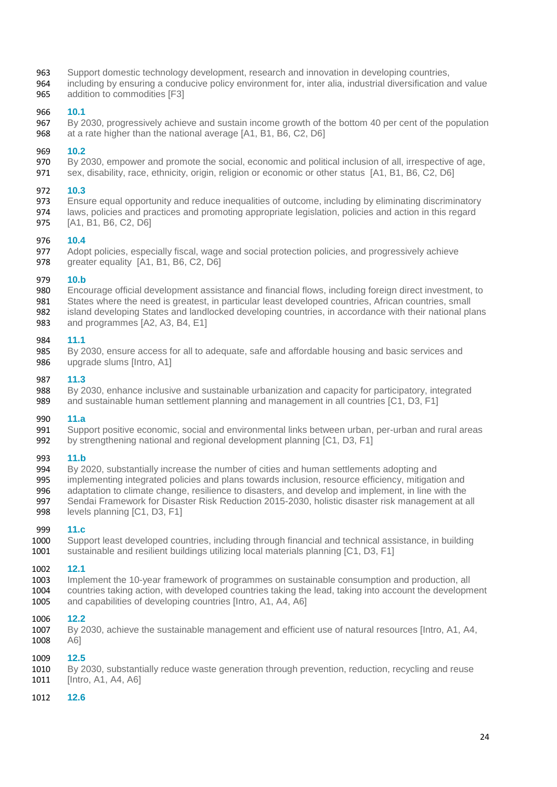- Support domestic technology development, research and innovation in developing countries,
- including by ensuring a conducive policy environment for, inter alia, industrial diversification and value addition to commodities [F3]

### **10.1**

 By 2030, progressively achieve and sustain income growth of the bottom 40 per cent of the population 968 at a rate higher than the national average [A1, B1, B6, C2, D6]

### **10.2**

- By 2030, empower and promote the social, economic and political inclusion of all, irrespective of age,
- sex, disability, race, ethnicity, origin, religion or economic or other status [A1, B1, B6, C2, D6]

### **10.3**

- Ensure equal opportunity and reduce inequalities of outcome, including by eliminating discriminatory laws, policies and practices and promoting appropriate legislation, policies and action in this regard
- [A1, B1, B6, C2, D6]

# **10.4**

977 Adopt policies, especially fiscal, wage and social protection policies, and progressively achieve<br>978 areater equality [A1, B1, B6, C2, D6] greater equality [A1, B1, B6, C2, D6]

### **10.b**

- Encourage official development assistance and financial flows, including foreign direct investment, to
- States where the need is greatest, in particular least developed countries, African countries, small
- 982 island developing States and landlocked developing countries, in accordance with their national plans<br>983 and programmes [A2, A3, B4, E1] and programmes [A2, A3, B4, E1]

### **11.1**

985 By 2030, ensure access for all to adequate, safe and affordable housing and basic services and 986 upgrade slums [Intro, A1] upgrade slums [Intro, A1]

### **11.3**

 By 2030, enhance inclusive and sustainable urbanization and capacity for participatory, integrated and sustainable human settlement planning and management in all countries [C1, D3, F1]

### **11.a**

 Support positive economic, social and environmental links between urban, per-urban and rural areas by strengthening national and regional development planning [C1, D3, F1]

### **11.b**

- By 2020, substantially increase the number of cities and human settlements adopting and
- implementing integrated policies and plans towards inclusion, resource efficiency, mitigation and
- adaptation to climate change, resilience to disasters, and develop and implement, in line with the Sendai Framework for Disaster Risk Reduction 2015-2030, holistic disaster risk management at all
- levels planning [C1, D3, F1]

 **11.c** 1000 Support least developed countries, including through financial and technical assistance, in building<br>1001 sustainable and resilient buildings utilizing local materials planning [C1, D3, F1] sustainable and resilient buildings utilizing local materials planning [C1, D3, F1]

# **12.1**

- 1003 Implement the 10-year framework of programmes on sustainable consumption and production, all<br>1004 countries taking action, with developed countries taking the lead, taking into account the developm countries taking action, with developed countries taking the lead, taking into account the development and capabilities of developing countries [Intro, A1, A4, A6]
- 

# **12.2**

By 2030, achieve the sustainable management and efficient use of natural resources [Intro, A1, A4, A6]

 **12.5**  By 2030, substantially reduce waste generation through prevention, reduction, recycling and reuse [Intro, A1, A4, A6]

### **12.6**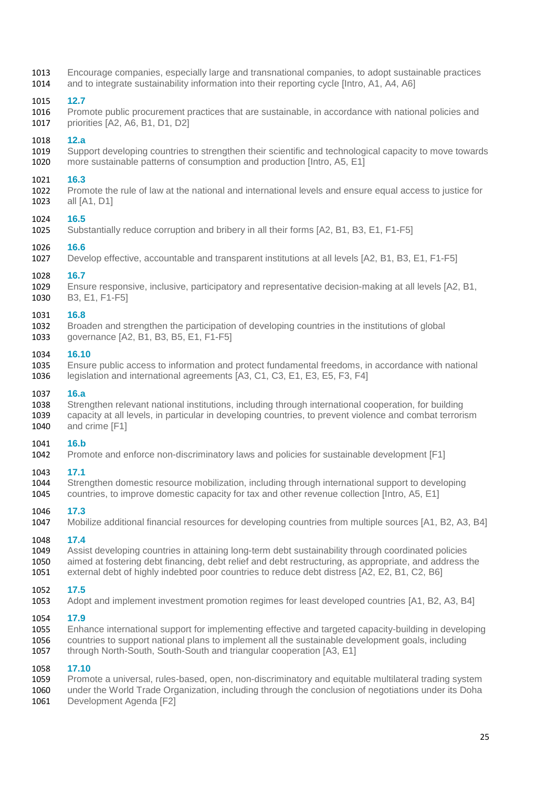1013 Encourage companies, especially large and transnational companies, to adopt sustainable practices 1014 and to integrate sustainability information into their reporting cycle [Intro, A1, A4, A6]

1015 **12.7**  Promote public procurement practices that are sustainable, in accordance with national policies and 1017 priorities [A2, A6, B1, D1, D2]

# 1018 **12.a**

Support developing countries to strengthen their scientific and technological capacity to move towards 1020 more sustainable patterns of consumption and production [Intro, A5, E1]

# 1021 **16.3**

Promote the rule of law at the national and international levels and ensure equal access to justice for 1023 all [A1, D1]

1024 **16.5**  Substantially reduce corruption and bribery in all their forms [A2, B1, B3, E1, F1-F5]

1026 **16.6**  Develop effective, accountable and transparent institutions at all levels [A2, B1, B3, E1, F1-F5]

### 1028 **16.7**

1029 Ensure responsive, inclusive, participatory and representative decision-making at all levels [A2, B1, B3, E1, F1-F5]

### 1031 **16.8**

- 1032 Broaden and strengthen the participation of developing countries in the institutions of global 1033 approximation and strengthen E1. E1. F1-F51
- governance [A2, B1, B3, B5, E1, F1-F5]

### 1034 **16.10**

1035 Ensure public access to information and protect fundamental freedoms, in accordance with national legislation and international agreements [A3, C1, C3, E1, E3, E5, F3, F4]

## 1037 **16.a**

1038 Strengthen relevant national institutions, including through international cooperation, for building<br>1039 capacity at all levels, in particular in developing countries, to prevent violence and combat terrori 1039 capacity at all levels, in particular in developing countries, to prevent violence and combat terrorism<br>1040 and crime [F1] and crime [F1]

# 1041 **16.b**

Promote and enforce non-discriminatory laws and policies for sustainable development [F1]

### 1043 **17.1**

1044 Strengthen domestic resource mobilization, including through international support to developing<br>1045 countries, to improve domestic capacity for tax and other revenue collection (Intro, A5, E1) countries, to improve domestic capacity for tax and other revenue collection [Intro, A5, E1]

### 1046 **17.3**

1047 Mobilize additional financial resources for developing countries from multiple sources [A1, B2, A3, B4]

### 1048 **17.4**

1049 Assist developing countries in attaining long-term debt sustainability through coordinated policies 1050 aimed at fostering debt financing, debt relief and debt restructuring, as appropriate, and address the 1051 external debt of highly indebted poor countries to reduce debt distress [A2, E2, B1, C2, B6] external debt of highly indebted poor countries to reduce debt distress [A2, E2, B1, C2, B6]

# 1052 **17.5**

Adopt and implement investment promotion regimes for least developed countries [A1, B2, A3, B4]

### 1054 **17.9**

- 1055 Enhance international support for implementing effective and targeted capacity-building in developing
- 1056 countries to support national plans to implement all the sustainable development goals, including<br>1057 through North-South, South-South and triangular cooperation [A3, E1] through North-South, South-South and triangular cooperation [A3, E1]

# 1058 **17.10**

- 1059 Promote a universal, rules-based, open, non-discriminatory and equitable multilateral trading system<br>1060 under the World Trade Organization, including through the conclusion of negotiations under its Doha under the World Trade Organization, including through the conclusion of negotiations under its Doha
- 1061 Development Agenda [F2]